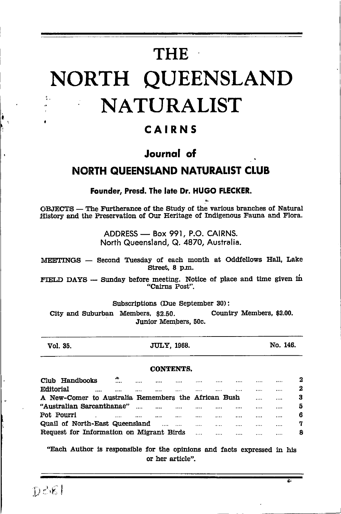# **THE** NORTH QUEENSLAND **NATURALIST**

## CAIRNS

# Journal of **NORTH QUEENSLAND NATURALIST CLUB**

Founder, Presd. The late Dr. HUGO FLECKER.

OBJECTS — The Furtherance of the Study of the various branches of Natural History and the Preservation of Our Heritage of Indigenous Fauna and Flora.

> ADDRESS - Box 991, P.O. CAIRNS. North Queensland, Q. 4870, Australia.

MEETINGS - Second Tuesday of each month at Oddfellows Hall, Lake Street. 8 p.m.

FIELD DAYS - Sunday before meeting. Notice of place and time given in "Cairns Post".

Subscriptions (Due September 30):

City and Suburban Members, \$2.50. Country Members, \$2.00. Junior Members, 50c.

Vol. 35.

JULY, 1968.

No. 146.

## **CONTENTS.**

| Club       | Handbooks                                           | ъĐ.<br>  | <br> | <br> |       | <br>     |          | $\bf{2}$ |
|------------|-----------------------------------------------------|----------|------|------|-------|----------|----------|----------|
| Editorial  |                                                     | <br>     | <br> | <br> |       | <br>     |          | 2        |
|            | A New-Comer to Australia Remembers the African Bush |          |      |      |       | $\cdots$ | $\cdots$ | з        |
|            | "Australian Sarcanthanae"                           |          | <br> | <br> |       | <br>     |          | 5        |
| Pot Pourri |                                                     | $\cdots$ | <br> | <br> |       | <br>     |          | 6        |
|            | Quail of North-East Queensland                      |          |      | <br> | 1.1.1 | <br>     |          | 7        |
|            | Request for Information on Migrant Birds            |          |      |      |       | <br>     |          | 8        |

"Each Author is responsible for the opinions and facts expressed in his or her article".

ż.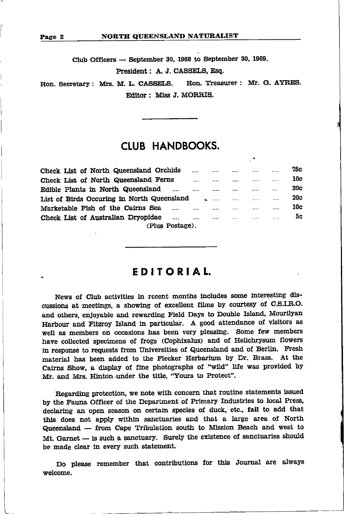L

Club Officers — September 30, 1968 to September 30, 1969. President: A. J. CASSELS, Esq.

Hon. Secretary: Mrs. M. L. CASSELS. Hon. Treasurer: Mr. G. AYRES. Editor: Miss J. MORRIS.

## CLUB HANDBOOKS.

| Check List of North Queensland Orchids     |  |          |          |   |          | 75с        |  |  |  |  |
|--------------------------------------------|--|----------|----------|---|----------|------------|--|--|--|--|
| Check List of North Queensland Ferns       |  |          |          |   |          | 10c        |  |  |  |  |
| Edible Plants in North Queensland<br>      |  |          |          |   | $\cdots$ | <b>20c</b> |  |  |  |  |
| List of Birds Occuring in North Queensland |  | $\cdots$ | $\cdots$ |   |          | 20c        |  |  |  |  |
| Marketable Fish of the Cairns Sea<br>      |  |          | .        |   |          | 10c        |  |  |  |  |
| Check List of Australian Dryopidae<br>     |  |          | 1.1.1    | . |          | 5с         |  |  |  |  |
| (Plus Postage).                            |  |          |          |   |          |            |  |  |  |  |

## EDITORIAL.

News of Club activities in recent months includes some interesting discussions at meetings, a showing of excellent films by courtesy of C.S.I.R.O. and others, enjoyable and rewarding Field Days to Double Island, Mourilyan Harbour and Fitzroy Island in particular. A good attendance of visitors as well as members on occasions has been very pleasing. Some few members have collected specimens of frogs (Cophixalus) and of Helichrysum flowers in response to requests from Universities of Queensland and of Berlin. Fresh material has been added to the Flecker Herbarium by Dr. Brass. At the Cairns Show, a display of fine photographs of "wild" life was provided by Mr. and Mrs. Hinton under the title, "Yours to Protect".

Regarding protection, we note with concern that routine statements issued by the Fauna Officer of the Department of Primary Industries to local Press, declaring an open season on certain species of duck, etc., fail to add that this does not apply within sanctuaries and that a large area of North Queensland — from Cape Tribulation south to Mission Beach and west to Queensland — from Cape Tribulation south to Mission Beach and west to<br>Mt. Garnet — is such a sanctuary. Surely the existence of sanctuaries should  $M$ r. Garnet — is such a sanctuary. Surface clear in every such statement.

Do please remember that contributions for this Journal are always welcome.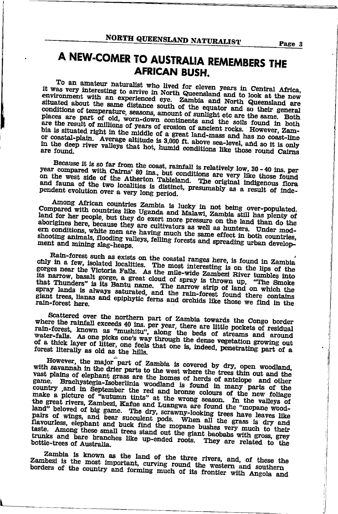## A NEW-COMER TO AUSTRALIA REMEMBERS THE **AFRICAN BUSH.**

To an amateur naturalist who lived for eleven years in Central Africa, it was very interesting to arrive in North Queensland and to look at the new environment with an experienced eye. Zambia and North Queensland are situated about the same distance south of the equator and so their general conditions of temperature, seasons, amount of sunlight etc are the same. Both places are part of old, worn-down continents and the soils found in both are the result of millions of years of erosion of ancient rocks. Howeve bia is situated right in the middle of a great land-mass and has no coast-line or coastal-plain. Average altitude is 3,000 ft. above sea-level, and so it is only in the deep river valleys that hot, humid conditions like those round Cairns

Because it is so far from the coast, rainfall is relatively low, 30 - 40 ins. per year compared with Cairns' 80 ins., but conditions are very like those found on the west side of the Atherton Tableland. The original indigenous flora and fauna of the two localities is distinct, presumably as a result of independent evolution over a very long period.

Among African countries Zambia is lucky in not being over-populated. Compared with countries like Uganda and Malawi, Zambia still has plenty of land for her people, but they do exert more pressure on the land than do the aborigines here, because they are cultivators as well as hunters. Under modern conditions, white men are having much the same effect in both countries, shooting animals, flooding valleys, felling forests and spreading urban development and mining slag-heaps.

Rain-forest such as exists on the coastal ranges here, is found in Zambia only in a few, isolated localities. The most interesting is on the lips of the gorges near the Victoria Falls. As the mile-wide Zambezi River tumbles into its narrow, basalt gorge, a great cloud of spray is thrown up, "The Smoke that Thunders" is its Bantu name. The narrow strip of land on which the spray lands is always saturated, and the rain-forest found there contains giant trees, lianas and epiphytic ferns and orchids like those we find in the rain-forest here.

Scattered over the northern part of Zambia towards the Congo border where the rainfall exceeds 40 ins. per year, there are little pockets of residual rain-forest, known as "mushitu", along the beds of streams and around water-falls. As one picks one's way through the dense vegetation growing out of a thick layer of litter, one feels that one is, indeed, penetrating part of a forest literally as old as the hills.

However, the major part of Zambia is covered by dry, open woodland, with savannah in the drier parts to the west where the trees thin out and the vast plains of elephant grass are the homes of herds of antelope and other game. Brachystegia-Isoberlinia woodland is found in many parts of the country ,and in September the red and bronze colours of the new follage make a picture of "autumn tints" at the wrong season. In the valleys of the great rivers, Zambezi, Kafue and Luangwa are found the "mopane woodland" beloved of big game. The dry, scrawny-looking trees have leaves like pairs of wings, and bear succulent pods. When all the grass is dry and flavourless, elephant and buck find the mopane bushes very much to their taste. Among these small trees stand out the giant baobabs with gross, grey trunks and bare branches like up-ended roots. They are related to the bottle-trees of Australia.

Zambia is known as the land of the three rivers, and, of these the Zambezi is the most important, curving round the western and southern borders of the country and forming much of its frontier with Angola and

Page 3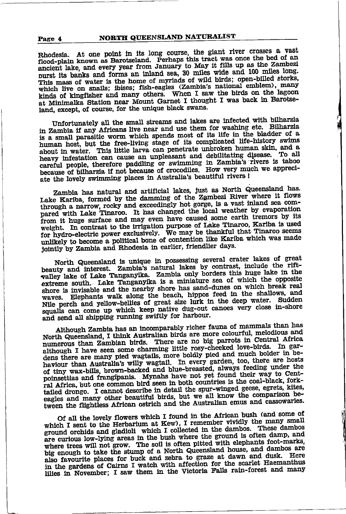#### NORTH QUEENSLAND NATURALIST Page 4

Rhodesia. At one point in its long course, the glant river crosses a vast flood-plain known as Barotseland. Perhaps this tract was once the bed of an ancient lake, and every year from January to May it fills up as the Zambezi purst its banks and forms an inland sea, 30 miles wide and 100 miles long. This mass of water is the home of myriads of wild birds; open-billed storks, which live on snails; ibises; fish-eagles (Zambia's national emblem), many kinds of kingfisher and many others. When I saw the birds on the lagoon at Minimalka Station near Mount Garnet I thought I was back in Barotseland, except, of course, for the unique black swans.

Unfortunately all the small streams and lakes are infected with bilharzia in Zambia if any Africans live near and use them for washing etc. Bilharzia is a small parasitic worm which spends most of its life in the bladder of a human host, but the free-living stage of its complicated life-history swims about in water. This little larva can penetrate unbroken human skin, and a heavy infestation can cause an unpleasant and debilitating disease. To all careful people, therefore paddling or swimming in Zambia's rivers is taboo because of bilharzia if not because of crocodiles. How very much we appreciate the lovely swimming places in Australia's beautiful rivers !

Zambia has natural and artificial lakes, just as North Queensland has. Lake Kariba, formed by the damming of the Zambezi River where it flows through a narrow, rocky and exceedingly hot gorge, is a vast inland sea compared with Lake Tinaroo. It has changed the local weather by evaporation from it huge surface and may even have caused some earth tremors by its weight. In contrast to the irrigation purpose of Lake Tinaroo, Kariba is used for hydro-electric power exclusively. We may be thankful that Tinaroo seems unlikely to become a political bone of contention like Kariba which was made jointly by Zambia and Rhodesia in earlier, friendlier days.

North Queensland is unique in possessing several crater lakes of great beauty and interest. Zambia's natural lakes by contrast, include the riftvalley lake of Lake Tanganyika. Zambia only borders this huge lake in the extreme south. Lake Tanganyika is a miniature sea of which the opposite shore is invisable and the nearby shore has sand-dunes on which break real waves. Elephants walk along the beach, hippos feed in the shallows, and Nile perch and yellow-bellies of great size lurk in the deep water. Sudden squalls can come up which keep native dug-out canoes very close in-shore and send all shipping running swiftly for harbour.

Although Zambia has an incomparably richer fauna of mammals than has North Queensland, I think Australian birds are more colourful, melodious and numerous than Zambian birds. There are no big parrots in Central Africa although I have seen some charming little rosy-cheeked love-birds. In gardens there are many pied wagtails, more boldly pied and much bolder in behaviour than Australia's willy wagtail. In every garden, too, there are hosts of tiny wax-bills, brown-backed and blue-breasted, always feeding under the poinsettias and frangipanis. Mynahs have not yet found their way to Central Africa, but one common bird seen in both countries is the coal-black, forktailed drongo. I cannot describe in detail the spur-winged geese, egrets, kites, eagles and many other beautiful birds, but we all know the comparison between the flightless African ostrich and the Australian emus and cassowaries.

Of all the lovely flowers which I found in the African bush (and some of which I sent to the Herbarium at Kew), I remember vividly the many small ground orchids and gladioli which I collected in the dambos. These dambos are curious low-lying areas in the bush where the ground is often damp, and where trees will not grow. The soil is often pitted with elephants foot-marks, big enough to take the stump of a North Queensland house, and dambos are also favourite places for buck and zebra to graze at dawn and dusk. Here in the gardens of Cairns I watch with affection for the scarlet Haemanthus lilies in November; I saw them in the Victoria Falls rain-forest and many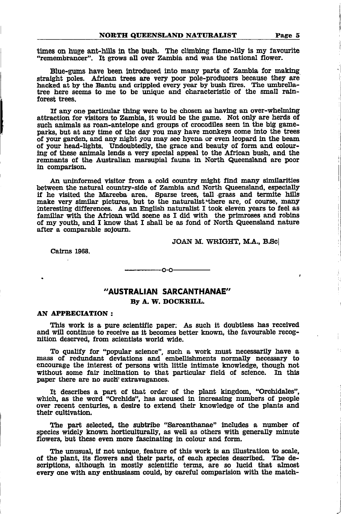times on huge ant-hills in the bush. The climbing flame-lily is my favourite "remembrancer". It grows all over Zambia and was the national flower.

Blue-gums have been introduced into many parts of Zambia for making. straight poles. African trees are very poor pole-producers because they are hacked at by the Bantu and crippled every year by bush fires. The umbrella-<br>tree here seems to me to be unique and characteristic of the small rainforest trees.

If any one particular thing were to be chosen as having an over-whelming attraction for visitors to Zambia, it would be the game. Not only are herds of such animals as roan-antelope and groups of crocodiles seen in the big gameparks, but at any time of the day you may have monkeys come into the trees of your gprden, and any night you may see hyena or even leopard ln the beam of your head-lights. Undoubtedly, the grace and beauty of form and colouring of these animals lends a very special appeal to the African bush, and the remnants of the Australian marsupial fauna in North Queensland are poor in comparison.

An uninformed visitor from a cold country might find many similarities<br>between the natural country-side of Zambia and North Queensland, especially if he visited the Mareeba area. Sparse trees, tall grass and termite hills make very similar pictures, but to the naturalist there are, of course, many lnterestlng dlfferences. As an English naturallst I took eleven years to feel as familiar with the African wild scene as I did with the primroses and robins of my youth, and I know that I shall be as fond of North Queensland nature after a comparable soJoura.

JOAN M. WRIGHT, M.A., B.Sc

Cairns 1968.

"AUSTRALIAN SARCANTHANAE" By A. W. DOCKRILL.

 $\sim$ 

## AN APPRECIATION:

This work is a pure scientific paper. As such it doubtless has received and will continue to receive as it becomes better known, the favourable recognition deserved, from scientists world wide.

To qualify for "popular science", such a work must necessarily have a mass of redundant deviations and embellishments normally necessary to encourage the interest of persons with little intimate knowledge, though not without some fair inclination to that particular field of science. In this paper there are no such extravagances.

It describes a part of that order of the plant kingdom, "Orchidales" which, as the word "Orchids", has aroused in increasing numbers of people over recent centurles, a deslre to extend their knowledge of the plants and their cultivation.

The part selected, the subtribe "Sarcanthanae" includes a number of species widely known horticulturally, as well as others with generally minute flowers, but these even more fascinating in colour and form.

The unusual, if not unique, feature of this work is an illustration to scale. of the plant, its flowers and their parts, of each species described. The descriptions, although in mostly scientific terms, are so lucid that almost every one with any enthusiasm could, by careful comparision with the match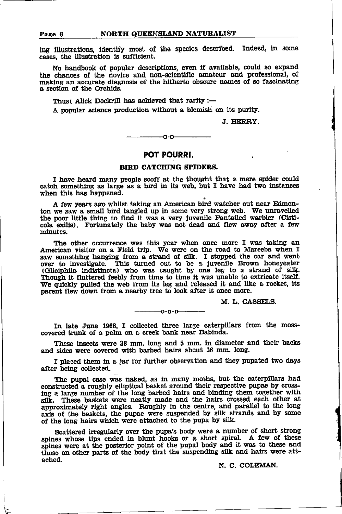ing illustrations, identify most of the species described. Indeed, in some cases, the illustration is sufficient.

No handbook of popular descriptions, even if available, could so expand the chances of the novice and non-scientific amateur and professional, of making an accurate diagnosis of the hitherto obscure names of so fascinating a section of the Orchids.

Thus (Alick Dockrill has achieved that rarity :-

A popular science production without a blemish on its purity.

J. BERRY.

 $-0-0-$ 

## POT POURRI.

## **BIRD CATCHING SPIDERS.**

I have heard many people scoff at the thought that a mere spider could catch something as large as a bird in its web, but I have had two instances when this has happened.

A few years ago whilst taking an American bird watcher out near Edmonton we saw a small bird tangled up in some very strong web. We unravelled the poor little thing to find it was a very juvenile Fantailed warbler (Cisticola exilis). Fortunately the baby was not dead and flew away after a few minutes.

The other occurrence was this year when once more I was taking an American visitor on a Field trip. We were on the road to Mareeba when I saw something hanging from a strand of silk. I stopped the car and went saw sometiming manipulation of the a juvenile Brown honeyeater<br>(Gliciphila indistincta) who was caught by one leg to a strand of silk.<br>Though it fluttered feebly from time to time it was unable to extricate itself. We quickly pulled the web from its leg and released it and like a rocket, its parent flew down from a nearby tree to look after it once more.

M. L. CASSELS.

 $-0-0-0$ 

In late June 1968, I collected three large caterpillars from the mosscovered trunk of a palm on a creek bank near Babinda.

These insects were 38 mm, long and 5 mm, in diameter and their backs and sides were covered with barbed hairs about 16 mm. long.

I placed them in a jar for further observation and they pupated two days after being collected.

The pupal case was naked, as in many moths, but the caterpillars had constructed a roughly elliptical basket around their respective pupae by crossing a large number of the long barbed hairs and binding them together with silk. These baskets were neatly made and the hairs crossed each other at approximately right angles. Roughly in the centre, and parallel to the long axis of the baskets, the pupae were suspended by silk strands and by some of the long hairs which were attached to the pupa by silk.

Scattered irregularly over the pupa's body were a number of short strong spines whose tips ended in blunt hooks or a short spiral. A few of these spines were at the posterior point of the pupal body and it was to these and those on other parts of the body that the suspending silk and hairs were attached.

N. C. COLEMAN.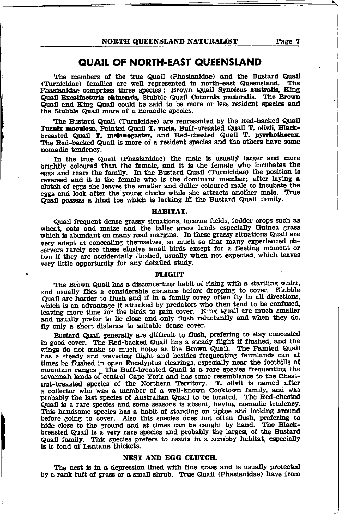## **QUAIL OF NORTH-EAST QUEENSLAND**

The members of the true Quail (Phasianidae) and the Bustard Quail (Turnicidae) families are well represented in north-east Queensland. The Phasianidae comprises three species : Brown Quail Synoicus australis, King Quail Excalfactoria chinensis, Stubble Quail Coturnix pectoralis. The Brown Quail and King Quail could be said to be more or less resident species and the Stubble Quail more of a nomadic species.

The Bustard Quail (Turnicidae) are represented by the Red-backed Quail Turnix maculosa, Painted Quail T. varia, Buff-breasted Quail T. olivii, Blackbreasted Quail T. melanogaster, and Red-chested Quail T. pyrrhothorax. The Red-backed Quail is more of a resident species and the others have some nomadic tendency.

In the true Quail (Phasianidae) the male is usually larger and more brightly coloured than the female, and it is the female who incubates the eggs and rears the family. In the Bustard Quail (Turnicidae) the position is reversed and it is the female who is the dominant member; after laying a clutch of eggs she leaves the smaller and duller coloured male to incubate the eggs and look after the young chicks while she attracts another male. True Quail possess a hind toe which is lacking in the Bustard Quail family.

#### HABITAT.

Quail frequent dense grassy situations, lucerne fields, fodder crops such as wheat, oats and maize and the taller grass lands especially Guinea grass which is abundant on many road margins. In these grassy situations Quail are very adept at concealing themselves, so much so that many experienced observers rarely see these elusive small birds except for a fleeting moment or two if they are accidentally flushed, usually when not expected, which leaves very little opportunity for any detailed study.

#### **FLIGHT**

The Brown Quail has a disconcerting habit of rising with a startling whirr, and usually flies a considerable distance before dropping to cover. Stubble Quail are harder to flush and if in a family covey often fly in all directions, which is an advantage if attacked by predators who then tend to be confused, leaving more time for the birds to gain cover. King Quail are much smaller and usually prefer to lie close and only flush reluctantly and when they do, fly only a short distance to suitable dense cover.

Bustard Quail generally are difficult to flush, prefering to stay concealed in good cover. The Red-backed Quail has a steady flight if flushed, and the wings do not make so much noise as the Brown Quail. The Painted Quail has a steady and wavering flight and besides frequenting farmlands can at times be flushed in open Eucalyptus clearings, especially near the foothills of mountain ranges. The Buff-breasted Quail is a rare species frequenting the savannah lands of central Cape York and has some resemblance to the Chestnut-breasted species of the Northern Territory. T. olivii is named after a collector who was a member of a well-known Cooktown family, and was probably the last species of Australian Quail to be located. The Red-chested Quail is a rare species and some seasons is absent, having nomadic tendency.<br>This handsome species has a habit of standing on tiptoe and looking around before going to cover. Also this species does not often flush, prefering to hide close to the ground and at times can be caught by hand. The Blackbreasted Quail is a very rare species and probably the largest of the Bustard Quail family. This species prefers to reside in a scrubby habitat, especially is it fond of Lantana thickets.

## NEST AND EGG CLUTCH.

The nest is in a depression lined with fine grass and is usually protected by a rank tuft of grass or a small shrub. True Quail (Phasianidae) have from